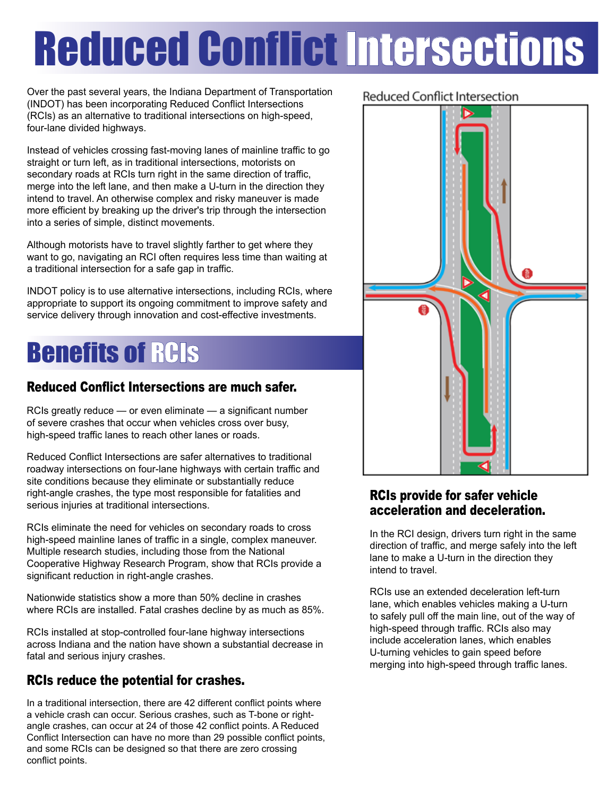# Reduced Conflict Intersections

Over the past several years, the Indiana Department of Transportation (INDOT) has been incorporating Reduced Conflict Intersections (RCIs) as an alternative to traditional intersections on high-speed, four-lane divided highways.

Instead of vehicles crossing fast-moving lanes of mainline traffic to go straight or turn left, as in traditional intersections, motorists on secondary roads at RCIs turn right in the same direction of traffic, merge into the left lane, and then make a U-turn in the direction they intend to travel. An otherwise complex and risky maneuver is made more efficient by breaking up the driver's trip through the intersection into a series of simple, distinct movements.

Although motorists have to travel slightly farther to get where they want to go, navigating an RCI often requires less time than waiting at a traditional intersection for a safe gap in traffic.

INDOT policy is to use alternative intersections, including RCIs, where appropriate to support its ongoing commitment to improve safety and service delivery through innovation and cost-effective investments.

# **Benefits of RCIS**

### Reduced Conflict Intersections are much safer.

RCIs greatly reduce — or even eliminate — a significant number of severe crashes that occur when vehicles cross over busy, high-speed traffic lanes to reach other lanes or roads.

Reduced Conflict Intersections are safer alternatives to traditional roadway intersections on four-lane highways with certain traffic and site conditions because they eliminate or substantially reduce right-angle crashes, the type most responsible for fatalities and serious injuries at traditional intersections.

RCIs eliminate the need for vehicles on secondary roads to cross high-speed mainline lanes of traffic in a single, complex maneuver. Multiple research studies, including those from the National Cooperative Highway Research Program, show that RCIs provide a significant reduction in right-angle crashes.

Nationwide statistics show a more than 50% decline in crashes where RCIs are installed. Fatal crashes decline by as much as 85%.

RCIs installed at stop-controlled four-lane highway intersections across Indiana and the nation have shown a substantial decrease in fatal and serious injury crashes.

### RCIs reduce the potential for crashes.

In a traditional intersection, there are 42 different conflict points where a vehicle crash can occur. Serious crashes, such as T-bone or rightangle crashes, can occur at 24 of those 42 conflict points. A Reduced Conflict Intersection can have no more than 29 possible conflict points, and some RCIs can be designed so that there are zero crossing conflict points.

### **Reduced Conflict Intersection**



### RCIs provide for safer vehicle acceleration and deceleration.

In the RCI design, drivers turn right in the same direction of traffic, and merge safely into the left lane to make a U-turn in the direction they intend to travel.

RCIs use an extended deceleration left-turn lane, which enables vehicles making a U-turn to safely pull off the main line, out of the way of high-speed through traffic. RCIs also may include acceleration lanes, which enables U-turning vehicles to gain speed before merging into high-speed through traffic lanes.